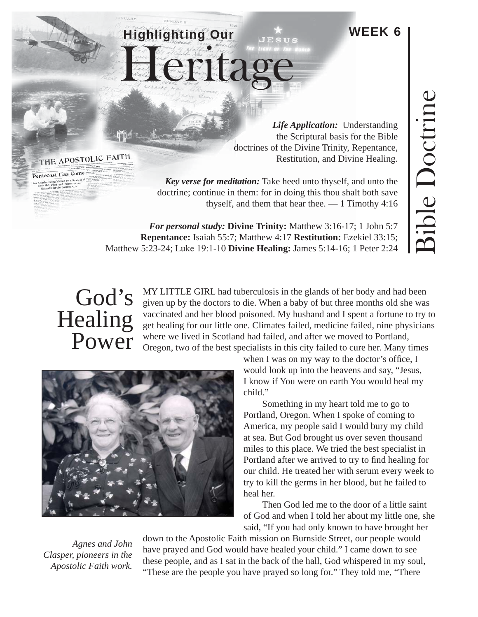## WEEK 6

Heritage

Highlighting Our

*Life Application:* Understanding the Scriptural basis for the Bible doctrines of the Divine Trinity, Repentance, Restitution, and Divine Healing.

*Key verse for meditation:* Take heed unto thyself, and unto the doctrine; continue in them: for in doing this thou shalt both save thyself, and them that hear thee.  $-1$  Timothy 4:16

*For personal study:* **Divine Trinity:** Matthew 3:16-17; 1 John 5:7 **Repentance:** Isaiah 55:7; Matthew 4:17 **Restitution:** Ezekiel 33:15; Matthew 5:23-24; Luke 19:1-10 **Divine Healing:** James 5:14-16; 1 Peter 2:24

## God's Healing Power

MY LITTLE GIRL had tuberculosis in the glands of her body and had been given up by the doctors to die. When a baby of but three months old she was vaccinated and her blood poisoned. My husband and I spent a fortune to try to get healing for our little one. Climates failed, medicine failed, nine physicians where we lived in Scotland had failed, and after we moved to Portland, Oregon, two of the best specialists in this city failed to cure her. Many times

> when I was on my way to the doctor's office,  $I$ would look up into the heavens and say, "Jesus, I know if You were on earth You would heal my child."

Something in my heart told me to go to Portland, Oregon. When I spoke of coming to America, my people said I would bury my child at sea. But God brought us over seven thousand miles to this place. We tried the best specialist in Portland after we arrived to try to find healing for our child. He treated her with serum every week to try to kill the germs in her blood, but he failed to heal her.

Then God led me to the door of a little saint of God and when I told her about my little one, she said, "If you had only known to have brought her

down to the Apostolic Faith mission on Burnside Street, our people would have prayed and God would have healed your child." I came down to see these people, and as I sat in the back of the hall, God whispered in my soul, "These are the people you have prayed so long for." They told me, "There

*Agnes and John Clasper, pioneers in the Apostolic Faith work.*

THE APOSTOLIC FAITH

Pentecost Has Come